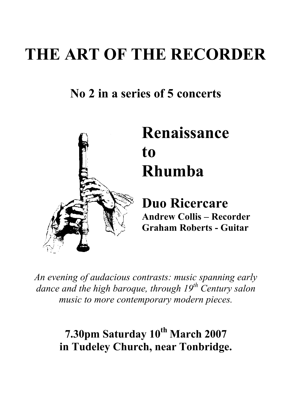## **THE ART OF THE RECORDER**

## **No 2 in a series of 5 concerts**



# **Renaissance Rhumba**

**Duo Ricercare Andrew Collis – Recorder Graham Roberts - Guitar**

*An evening of audacious contrasts: music spanning early dance and the high baroque, through 19th Century salon music to more contemporary modern pieces.*

## **7.30pm Saturday 10th March 2007 in Tudeley Church, near Tonbridge.**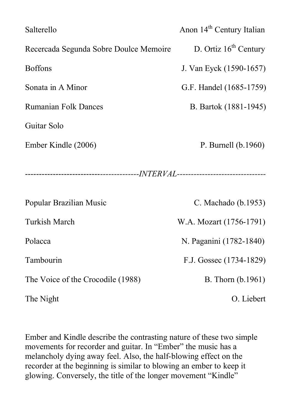| Salterello                             | Anon 14 <sup>th</sup> Century Italian |
|----------------------------------------|---------------------------------------|
| Recercada Segunda Sobre Doulce Memoire | D. Ortiz $16th$ Century               |
| <b>Boffons</b>                         | J. Van Eyck (1590-1657)               |
| Sonata in A Minor                      | G.F. Handel (1685-1759)               |
| <b>Rumanian Folk Dances</b>            | B. Bartok (1881-1945)                 |
| Guitar Solo                            |                                       |
| Ember Kindle (2006)                    | P. Burnell (b.1960)                   |
|                                        |                                       |
|                                        |                                       |
| Popular Brazilian Music                | C. Machado (b.1953)                   |
| <b>Turkish March</b>                   | W.A. Mozart (1756-1791)               |
| Polacca                                | N. Paganini (1782-1840)               |
| Tambourin                              | F.J. Gossec (1734-1829)               |
| The Voice of the Crocodile (1988)      | B. Thorn (b.1961)                     |
| The Night                              | O. Liebert                            |

Ember and Kindle describe the contrasting nature of these two simple movements for recorder and guitar. In "Ember" the music has a melancholy dying away feel. Also, the half-blowing effect on the recorder at the beginning is similar to blowing an ember to keep it glowing. Conversely, the title of the longer movement "Kindle"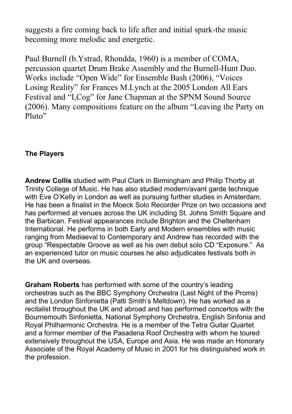suggests a fire coming back to life after and initial spark-the music becoming more melodic and energetic.

Paul Burnell (b.Ystrad, Rhondda, 1960) is a member of COMA, percussion quartet Drum Brake Assembly and the Burnell-Hunt Duo. Works include "Open Wide" for Ensemble Bash (2006), "Voices Losing Reality" for Frances M.Lynch at the 2005 London All Ears Festival and "I,Cog" for Jane Chapman at the SPNM Sound Source (2006). Many compositions feature on the album "Leaving the Party on Pluto"

#### **The Players**

**Andrew Collis** studied with Paul Clark in Birmingham and Philip Thorby at Trinity College of Music. He has also studied modern/avant garde technique with Eve O'Kelly in London as well as pursuing further studies in Amsterdam. He has been a finalist in the Moeck Solo Recorder Prize on two occasions and has performed at venues across the UK including St. Johns Smith Square and the Barbican. Festival appearances include Brighton and the Cheltenham International. He performs in both Early and Modern ensembles with music ranging from Mediaeval to Contemporary and Andrew has recorded with the group "Respectable Groove as well as his own debut solo CD "Exposure." As an experienced tutor on music courses he also adjudicates festivals both in the UK and overseas.

**Graham Roberts** has performed with some of the country's leading orchestras such as the BBC Symphony Orchestra (Last Night of the Proms) and the London Sinfonietta (Patti Smith's Meltdown). He has worked as a recitalist throughout the UK and abroad and has performed concertos with the Bournemouth Sinfonietta, National Symphony Orchestra, English Sinfonia and Royal Philharmonic Orchestra. He is a member of the Tetra Guitar Quartet and a former member of the Pasadena Roof Orchestra with whom he toured extensively throughout the USA, Europe and Asia. He was made an Honorary Associate of the Royal Academy of Music in 2001 for his distinguished work in the profession.